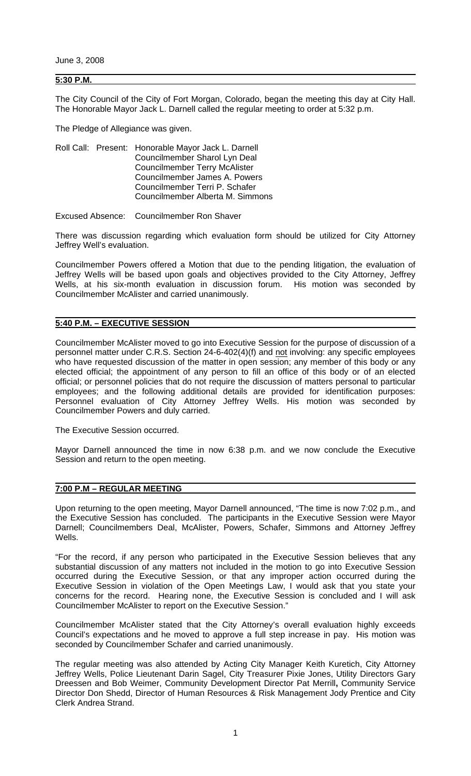June 3, 2008

### **5:30 P.M.**

The City Council of the City of Fort Morgan, Colorado, began the meeting this day at City Hall. The Honorable Mayor Jack L. Darnell called the regular meeting to order at 5:32 p.m.

The Pledge of Allegiance was given.

|  |  | Roll Call: Present: Honorable Mayor Jack L. Darnell |
|--|--|-----------------------------------------------------|
|  |  | Councilmember Sharol Lyn Deal                       |
|  |  | <b>Councilmember Terry McAlister</b>                |
|  |  | Councilmember James A. Powers                       |
|  |  | Councilmember Terri P. Schafer                      |
|  |  | Councilmember Alberta M. Simmons                    |

Excused Absence: Councilmember Ron Shaver

There was discussion regarding which evaluation form should be utilized for City Attorney Jeffrey Well's evaluation.

Councilmember Powers offered a Motion that due to the pending litigation, the evaluation of Jeffrey Wells will be based upon goals and objectives provided to the City Attorney, Jeffrey Wells, at his six-month evaluation in discussion forum. His motion was seconded by Councilmember McAlister and carried unanimously.

#### **5:40 P.M. – EXECUTIVE SESSION**

Councilmember McAlister moved to go into Executive Session for the purpose of discussion of a personnel matter under C.R.S. Section 24-6-402(4)(f) and not involving: any specific employees who have requested discussion of the matter in open session; any member of this body or any elected official; the appointment of any person to fill an office of this body or of an elected official; or personnel policies that do not require the discussion of matters personal to particular employees; and the following additional details are provided for identification purposes: Personnel evaluation of City Attorney Jeffrey Wells. His motion was seconded by Councilmember Powers and duly carried.

The Executive Session occurred.

Mayor Darnell announced the time in now 6:38 p.m. and we now conclude the Executive Session and return to the open meeting.

## **7:00 P.M – REGULAR MEETING**

Upon returning to the open meeting, Mayor Darnell announced, "The time is now 7:02 p.m., and the Executive Session has concluded. The participants in the Executive Session were Mayor Darnell; Councilmembers Deal, McAlister, Powers, Schafer, Simmons and Attorney Jeffrey Wells.

"For the record, if any person who participated in the Executive Session believes that any substantial discussion of any matters not included in the motion to go into Executive Session occurred during the Executive Session, or that any improper action occurred during the Executive Session in violation of the Open Meetings Law, I would ask that you state your concerns for the record. Hearing none, the Executive Session is concluded and I will ask Councilmember McAlister to report on the Executive Session."

Councilmember McAlister stated that the City Attorney's overall evaluation highly exceeds Council's expectations and he moved to approve a full step increase in pay. His motion was seconded by Councilmember Schafer and carried unanimously.

The regular meeting was also attended by Acting City Manager Keith Kuretich, City Attorney Jeffrey Wells, Police Lieutenant Darin Sagel, City Treasurer Pixie Jones, Utility Directors Gary Dreessen and Bob Weimer, Community Development Director Pat Merrill**,** Community Service Director Don Shedd, Director of Human Resources & Risk Management Jody Prentice and City Clerk Andrea Strand.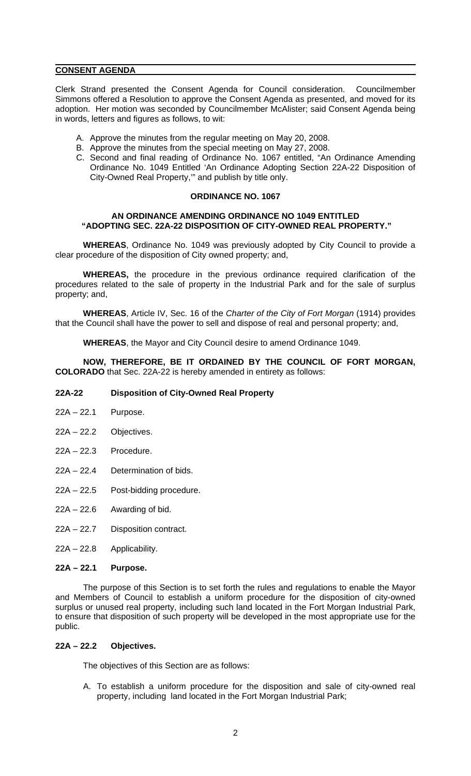## **CONSENT AGENDA**

Clerk Strand presented the Consent Agenda for Council consideration. Councilmember Simmons offered a Resolution to approve the Consent Agenda as presented, and moved for its adoption. Her motion was seconded by Councilmember McAlister; said Consent Agenda being in words, letters and figures as follows, to wit:

- A. Approve the minutes from the regular meeting on May 20, 2008.
- B. Approve the minutes from the special meeting on May 27, 2008.
- C. Second and final reading of Ordinance No. 1067 entitled, "An Ordinance Amending Ordinance No. 1049 Entitled 'An Ordinance Adopting Section 22A-22 Disposition of City-Owned Real Property,'" and publish by title only.

# **ORDINANCE NO. 1067**

## **AN ORDINANCE AMENDING ORDINANCE NO 1049 ENTITLED "ADOPTING SEC. 22A-22 DISPOSITION OF CITY-OWNED REAL PROPERTY."**

**WHEREAS**, Ordinance No. 1049 was previously adopted by City Council to provide a clear procedure of the disposition of City owned property; and,

**WHEREAS,** the procedure in the previous ordinance required clarification of the procedures related to the sale of property in the Industrial Park and for the sale of surplus property; and,

**WHEREAS**, Article IV, Sec. 16 of the *Charter of the City of Fort Morgan* (1914) provides that the Council shall have the power to sell and dispose of real and personal property; and,

**WHEREAS**, the Mayor and City Council desire to amend Ordinance 1049.

**NOW, THEREFORE, BE IT ORDAINED BY THE COUNCIL OF FORT MORGAN, COLORADO** that Sec. 22A-22 is hereby amended in entirety as follows:

## **22A-22 Disposition of City-Owned Real Property**

- 22A 22.1 Purpose.
- 22A 22.2 Objectives.
- 22A 22.3 Procedure.
- 22A 22.4 Determination of bids.
- 22A 22.5 Post-bidding procedure.
- $22A 22.6$  Awarding of bid.
- 22A 22.7 Disposition contract.
- 22A 22.8 Applicability.

## **22A – 22.1 Purpose.**

The purpose of this Section is to set forth the rules and regulations to enable the Mayor and Members of Council to establish a uniform procedure for the disposition of city-owned surplus or unused real property, including such land located in the Fort Morgan Industrial Park, to ensure that disposition of such property will be developed in the most appropriate use for the public.

## **22A – 22.2 Objectives.**

The objectives of this Section are as follows:

A. To establish a uniform procedure for the disposition and sale of city-owned real property, including land located in the Fort Morgan Industrial Park;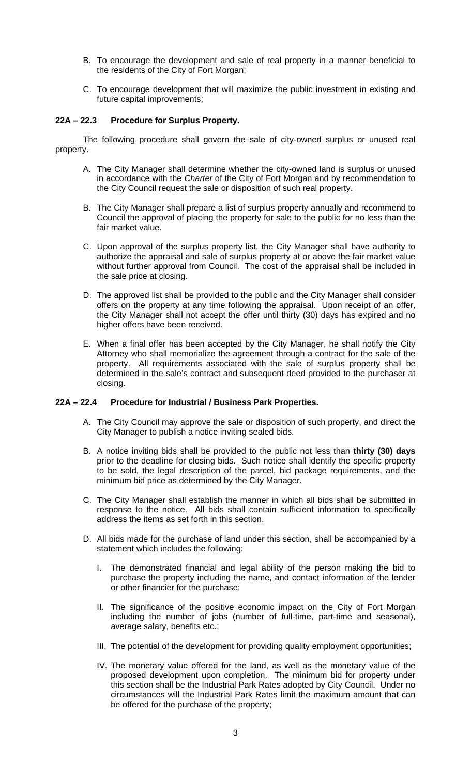- B. To encourage the development and sale of real property in a manner beneficial to the residents of the City of Fort Morgan;
- C. To encourage development that will maximize the public investment in existing and future capital improvements;

## **22A – 22.3 Procedure for Surplus Property.**

The following procedure shall govern the sale of city-owned surplus or unused real property.

- A. The City Manager shall determine whether the city-owned land is surplus or unused in accordance with the *Charter* of the City of Fort Morgan and by recommendation to the City Council request the sale or disposition of such real property.
- B. The City Manager shall prepare a list of surplus property annually and recommend to Council the approval of placing the property for sale to the public for no less than the fair market value.
- C. Upon approval of the surplus property list, the City Manager shall have authority to authorize the appraisal and sale of surplus property at or above the fair market value without further approval from Council. The cost of the appraisal shall be included in the sale price at closing.
- D. The approved list shall be provided to the public and the City Manager shall consider offers on the property at any time following the appraisal. Upon receipt of an offer, the City Manager shall not accept the offer until thirty (30) days has expired and no higher offers have been received.
- E. When a final offer has been accepted by the City Manager, he shall notify the City Attorney who shall memorialize the agreement through a contract for the sale of the property. All requirements associated with the sale of surplus property shall be determined in the sale's contract and subsequent deed provided to the purchaser at closing.

## **22A – 22.4 Procedure for Industrial / Business Park Properties.**

- A. The City Council may approve the sale or disposition of such property, and direct the City Manager to publish a notice inviting sealed bids.
- B. A notice inviting bids shall be provided to the public not less than **thirty (30) days**  prior to the deadline for closing bids. Such notice shall identify the specific property to be sold, the legal description of the parcel, bid package requirements, and the minimum bid price as determined by the City Manager.
- C. The City Manager shall establish the manner in which all bids shall be submitted in response to the notice. All bids shall contain sufficient information to specifically address the items as set forth in this section.
- D. All bids made for the purchase of land under this section, shall be accompanied by a statement which includes the following:
	- I. The demonstrated financial and legal ability of the person making the bid to purchase the property including the name, and contact information of the lender or other financier for the purchase;
	- II. The significance of the positive economic impact on the City of Fort Morgan including the number of jobs (number of full-time, part-time and seasonal), average salary, benefits etc.;
	- III. The potential of the development for providing quality employment opportunities;
	- IV. The monetary value offered for the land, as well as the monetary value of the proposed development upon completion. The minimum bid for property under this section shall be the Industrial Park Rates adopted by City Council. Under no circumstances will the Industrial Park Rates limit the maximum amount that can be offered for the purchase of the property;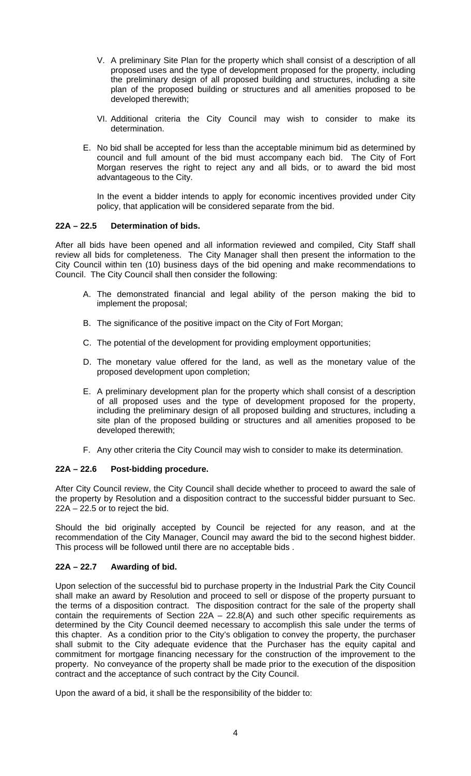- V. A preliminary Site Plan for the property which shall consist of a description of all proposed uses and the type of development proposed for the property, including the preliminary design of all proposed building and structures, including a site plan of the proposed building or structures and all amenities proposed to be developed therewith;
- VI. Additional criteria the City Council may wish to consider to make its determination.
- E. No bid shall be accepted for less than the acceptable minimum bid as determined by council and full amount of the bid must accompany each bid. The City of Fort Morgan reserves the right to reject any and all bids, or to award the bid most advantageous to the City.

In the event a bidder intends to apply for economic incentives provided under City policy, that application will be considered separate from the bid.

# **22A – 22.5 Determination of bids.**

After all bids have been opened and all information reviewed and compiled, City Staff shall review all bids for completeness. The City Manager shall then present the information to the City Council within ten (10) business days of the bid opening and make recommendations to Council. The City Council shall then consider the following:

- A. The demonstrated financial and legal ability of the person making the bid to implement the proposal;
- B. The significance of the positive impact on the City of Fort Morgan;
- C. The potential of the development for providing employment opportunities;
- D. The monetary value offered for the land, as well as the monetary value of the proposed development upon completion;
- E. A preliminary development plan for the property which shall consist of a description of all proposed uses and the type of development proposed for the property, including the preliminary design of all proposed building and structures, including a site plan of the proposed building or structures and all amenities proposed to be developed therewith;
- F. Any other criteria the City Council may wish to consider to make its determination.

## **22A – 22.6 Post-bidding procedure.**

After City Council review, the City Council shall decide whether to proceed to award the sale of the property by Resolution and a disposition contract to the successful bidder pursuant to Sec.  $22A - 22.5$  or to reject the bid.

Should the bid originally accepted by Council be rejected for any reason, and at the recommendation of the City Manager, Council may award the bid to the second highest bidder. This process will be followed until there are no acceptable bids .

# **22A – 22.7 Awarding of bid.**

Upon selection of the successful bid to purchase property in the Industrial Park the City Council shall make an award by Resolution and proceed to sell or dispose of the property pursuant to the terms of a disposition contract. The disposition contract for the sale of the property shall contain the requirements of Section  $22A - 22.8(A)$  and such other specific requirements as determined by the City Council deemed necessary to accomplish this sale under the terms of this chapter. As a condition prior to the City's obligation to convey the property, the purchaser shall submit to the City adequate evidence that the Purchaser has the equity capital and commitment for mortgage financing necessary for the construction of the improvement to the property. No conveyance of the property shall be made prior to the execution of the disposition contract and the acceptance of such contract by the City Council.

Upon the award of a bid, it shall be the responsibility of the bidder to: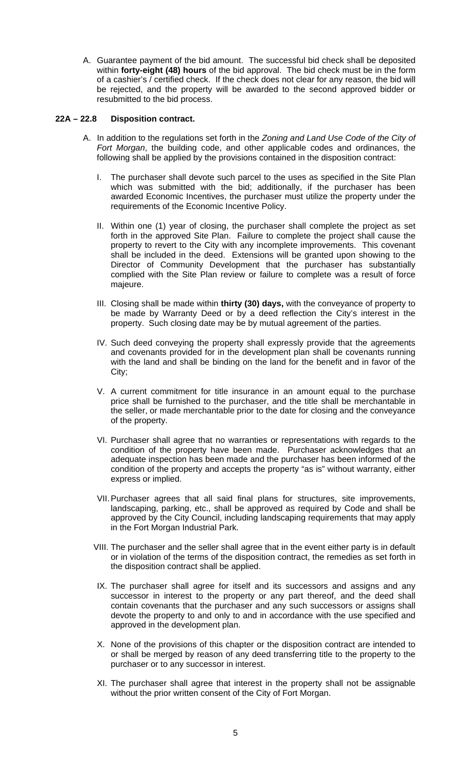A. Guarantee payment of the bid amount. The successful bid check shall be deposited within **forty-eight (48) hours** of the bid approval. The bid check must be in the form of a cashier's / certified check. If the check does not clear for any reason, the bid will be rejected, and the property will be awarded to the second approved bidder or resubmitted to the bid process.

## **22A – 22.8 Disposition contract.**

- A. In addition to the regulations set forth in the *Zoning and Land Use Code of the City of Fort Morgan*, the building code, and other applicable codes and ordinances, the following shall be applied by the provisions contained in the disposition contract:
	- I. The purchaser shall devote such parcel to the uses as specified in the Site Plan which was submitted with the bid; additionally, if the purchaser has been awarded Economic Incentives, the purchaser must utilize the property under the requirements of the Economic Incentive Policy.
	- II. Within one (1) year of closing, the purchaser shall complete the project as set forth in the approved Site Plan. Failure to complete the project shall cause the property to revert to the City with any incomplete improvements. This covenant shall be included in the deed. Extensions will be granted upon showing to the Director of Community Development that the purchaser has substantially complied with the Site Plan review or failure to complete was a result of force majeure.
	- III. Closing shall be made within **thirty (30) days,** with the conveyance of property to be made by Warranty Deed or by a deed reflection the City's interest in the property. Such closing date may be by mutual agreement of the parties.
	- IV. Such deed conveying the property shall expressly provide that the agreements and covenants provided for in the development plan shall be covenants running with the land and shall be binding on the land for the benefit and in favor of the City;
	- V. A current commitment for title insurance in an amount equal to the purchase price shall be furnished to the purchaser, and the title shall be merchantable in the seller, or made merchantable prior to the date for closing and the conveyance of the property.
	- VI. Purchaser shall agree that no warranties or representations with regards to the condition of the property have been made. Purchaser acknowledges that an adequate inspection has been made and the purchaser has been informed of the condition of the property and accepts the property "as is" without warranty, either express or implied.
	- VII. Purchaser agrees that all said final plans for structures, site improvements, landscaping, parking, etc., shall be approved as required by Code and shall be approved by the City Council, including landscaping requirements that may apply in the Fort Morgan Industrial Park.
	- VIII. The purchaser and the seller shall agree that in the event either party is in default or in violation of the terms of the disposition contract, the remedies as set forth in the disposition contract shall be applied.
	- IX. The purchaser shall agree for itself and its successors and assigns and any successor in interest to the property or any part thereof, and the deed shall contain covenants that the purchaser and any such successors or assigns shall devote the property to and only to and in accordance with the use specified and approved in the development plan.
	- X. None of the provisions of this chapter or the disposition contract are intended to or shall be merged by reason of any deed transferring title to the property to the purchaser or to any successor in interest.
	- XI. The purchaser shall agree that interest in the property shall not be assignable without the prior written consent of the City of Fort Morgan.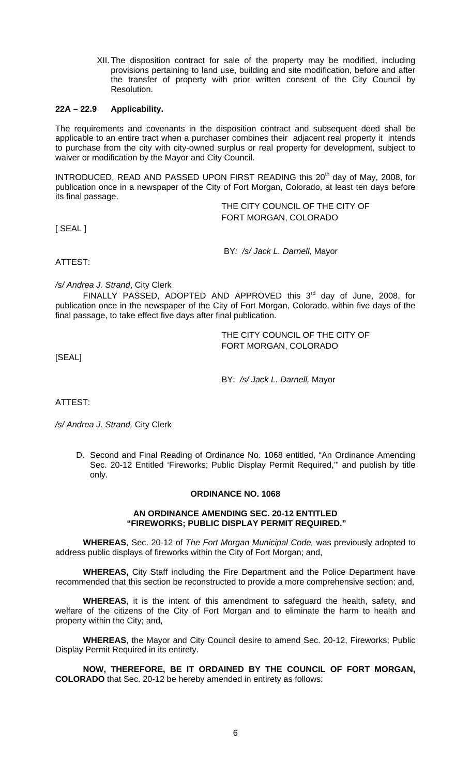XII. The disposition contract for sale of the property may be modified, including provisions pertaining to land use, building and site modification, before and after the transfer of property with prior written consent of the City Council by Resolution.

## **22A – 22.9 Applicability.**

The requirements and covenants in the disposition contract and subsequent deed shall be applicable to an entire tract when a purchaser combines their adjacent real property it intends to purchase from the city with city-owned surplus or real property for development, subject to waiver or modification by the Mayor and City Council.

INTRODUCED, READ AND PASSED UPON FIRST READING this 20<sup>th</sup> day of May, 2008, for publication once in a newspaper of the City of Fort Morgan, Colorado, at least ten days before its final passage.

 THE CITY COUNCIL OF THE CITY OF FORT MORGAN, COLORADO

[ SEAL ]

BY*: /s/ Jack L. Darnell,* Mayor

ATTEST:

*/s/ Andrea J. Strand*, City Clerk

FINALLY PASSED, ADOPTED AND APPROVED this 3rd day of June, 2008, for publication once in the newspaper of the City of Fort Morgan, Colorado, within five days of the final passage, to take effect five days after final publication.

> THE CITY COUNCIL OF THE CITY OF FORT MORGAN, COLORADO

[SEAL]

BY: */s/ Jack L. Darnell,* Mayor

ATTEST:

*/s/ Andrea J. Strand,* City Clerk

D. Second and Final Reading of Ordinance No. 1068 entitled, "An Ordinance Amending Sec. 20-12 Entitled 'Fireworks; Public Display Permit Required," and publish by title only.

## **ORDINANCE NO. 1068**

## **AN ORDINANCE AMENDING SEC. 20-12 ENTITLED "FIREWORKS; PUBLIC DISPLAY PERMIT REQUIRED."**

**WHEREAS**, Sec. 20-12 of *The Fort Morgan Municipal Code,* was previously adopted to address public displays of fireworks within the City of Fort Morgan; and,

**WHEREAS,** City Staff including the Fire Department and the Police Department have recommended that this section be reconstructed to provide a more comprehensive section; and,

**WHEREAS**, it is the intent of this amendment to safeguard the health, safety, and welfare of the citizens of the City of Fort Morgan and to eliminate the harm to health and property within the City; and,

**WHEREAS**, the Mayor and City Council desire to amend Sec. 20-12, Fireworks; Public Display Permit Required in its entirety.

**NOW, THEREFORE, BE IT ORDAINED BY THE COUNCIL OF FORT MORGAN, COLORADO** that Sec. 20-12 be hereby amended in entirety as follows: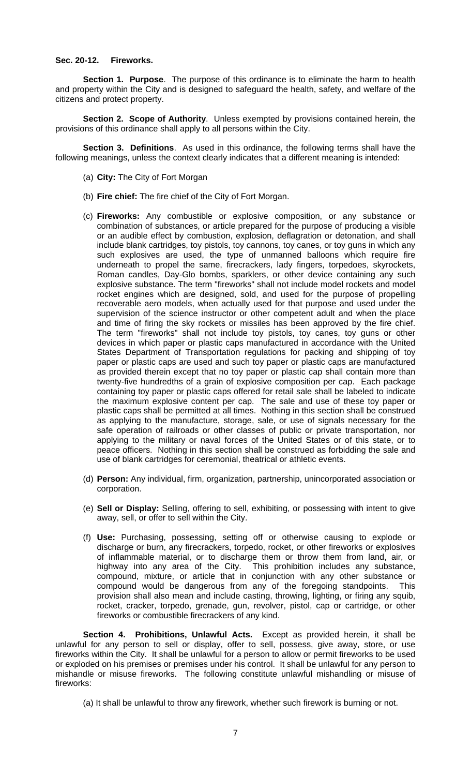### **Sec. 20-12. Fireworks.**

**Section 1. Purpose**. The purpose of this ordinance is to eliminate the harm to health and property within the City and is designed to safeguard the health, safety, and welfare of the citizens and protect property.

**Section 2. Scope of Authority**. Unless exempted by provisions contained herein, the provisions of this ordinance shall apply to all persons within the City.

**Section 3. Definitions**. As used in this ordinance, the following terms shall have the following meanings, unless the context clearly indicates that a different meaning is intended:

- (a) **City:** The City of Fort Morgan
- (b) **Fire chief:** The fire chief of the City of Fort Morgan.
- (c) **Fireworks:** Any combustible or explosive composition, or any substance or combination of substances, or article prepared for the purpose of producing a visible or an audible effect by combustion, explosion, deflagration or detonation, and shall include blank cartridges, toy pistols, toy cannons, toy canes, or toy guns in which any such explosives are used, the type of unmanned balloons which require fire underneath to propel the same, firecrackers, lady fingers, torpedoes, skyrockets, Roman candles, Day-Glo bombs, sparklers, or other device containing any such explosive substance. The term "fireworks" shall not include model rockets and model rocket engines which are designed, sold, and used for the purpose of propelling recoverable aero models, when actually used for that purpose and used under the supervision of the science instructor or other competent adult and when the place and time of firing the sky rockets or missiles has been approved by the fire chief. The term "fireworks" shall not include toy pistols, toy canes, toy guns or other devices in which paper or plastic caps manufactured in accordance with the United States Department of Transportation regulations for packing and shipping of toy paper or plastic caps are used and such toy paper or plastic caps are manufactured as provided therein except that no toy paper or plastic cap shall contain more than twenty-five hundredths of a grain of explosive composition per cap. Each package containing toy paper or plastic caps offered for retail sale shall be labeled to indicate the maximum explosive content per cap. The sale and use of these toy paper or plastic caps shall be permitted at all times. Nothing in this section shall be construed as applying to the manufacture, storage, sale, or use of signals necessary for the safe operation of railroads or other classes of public or private transportation, nor applying to the military or naval forces of the United States or of this state, or to peace officers. Nothing in this section shall be construed as forbidding the sale and use of blank cartridges for ceremonial, theatrical or athletic events.
- (d) **Person:** Any individual, firm, organization, partnership, unincorporated association or corporation.
- (e) **Sell or Display:** Selling, offering to sell, exhibiting, or possessing with intent to give away, sell, or offer to sell within the City.
- (f) **Use:** Purchasing, possessing, setting off or otherwise causing to explode or discharge or burn, any firecrackers, torpedo, rocket, or other fireworks or explosives of inflammable material, or to discharge them or throw them from land, air, or highway into any area of the City. This prohibition includes any substance, compound, mixture, or article that in conjunction with any other substance or compound would be dangerous from any of the foregoing standpoints. This provision shall also mean and include casting, throwing, lighting, or firing any squib, rocket, cracker, torpedo, grenade, gun, revolver, pistol, cap or cartridge, or other fireworks or combustible firecrackers of any kind.

**Section 4. Prohibitions, Unlawful Acts.** Except as provided herein, it shall be unlawful for any person to sell or display, offer to sell, possess, give away, store, or use fireworks within the City. It shall be unlawful for a person to allow or permit fireworks to be used or exploded on his premises or premises under his control. It shall be unlawful for any person to mishandle or misuse fireworks. The following constitute unlawful mishandling or misuse of fireworks:

(a) It shall be unlawful to throw any firework, whether such firework is burning or not.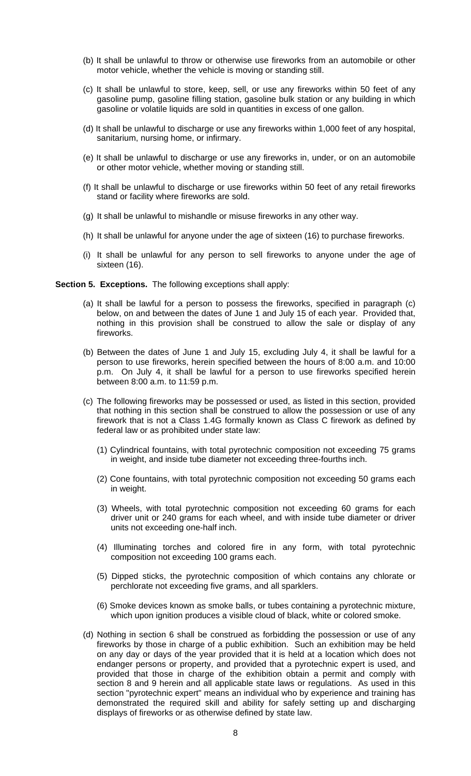- (b) It shall be unlawful to throw or otherwise use fireworks from an automobile or other motor vehicle, whether the vehicle is moving or standing still.
- (c) It shall be unlawful to store, keep, sell, or use any fireworks within 50 feet of any gasoline pump, gasoline filling station, gasoline bulk station or any building in which gasoline or volatile liquids are sold in quantities in excess of one gallon.
- (d) It shall be unlawful to discharge or use any fireworks within 1,000 feet of any hospital, sanitarium, nursing home, or infirmary.
- (e) It shall be unlawful to discharge or use any fireworks in, under, or on an automobile or other motor vehicle, whether moving or standing still.
- (f) It shall be unlawful to discharge or use fireworks within 50 feet of any retail fireworks stand or facility where fireworks are sold.
- (g) It shall be unlawful to mishandle or misuse fireworks in any other way.
- (h) It shall be unlawful for anyone under the age of sixteen (16) to purchase fireworks.
- (i) It shall be unlawful for any person to sell fireworks to anyone under the age of sixteen (16).

## **Section 5. Exceptions.** The following exceptions shall apply:

- (a) It shall be lawful for a person to possess the fireworks, specified in paragraph (c) below, on and between the dates of June 1 and July 15 of each year. Provided that, nothing in this provision shall be construed to allow the sale or display of any fireworks.
- (b) Between the dates of June 1 and July 15, excluding July 4, it shall be lawful for a person to use fireworks, herein specified between the hours of 8:00 a.m. and 10:00 p.m. On July 4, it shall be lawful for a person to use fireworks specified herein between 8:00 a.m. to 11:59 p.m.
- (c) The following fireworks may be possessed or used, as listed in this section, provided that nothing in this section shall be construed to allow the possession or use of any firework that is not a Class 1.4G formally known as Class C firework as defined by federal law or as prohibited under state law:
	- (1) Cylindrical fountains, with total pyrotechnic composition not exceeding 75 grams in weight, and inside tube diameter not exceeding three-fourths inch.
	- (2) Cone fountains, with total pyrotechnic composition not exceeding 50 grams each in weight.
	- (3) Wheels, with total pyrotechnic composition not exceeding 60 grams for each driver unit or 240 grams for each wheel, and with inside tube diameter or driver units not exceeding one-half inch.
	- (4) Illuminating torches and colored fire in any form, with total pyrotechnic composition not exceeding 100 grams each.
	- (5) Dipped sticks, the pyrotechnic composition of which contains any chlorate or perchlorate not exceeding five grams, and all sparklers.
	- (6) Smoke devices known as smoke balls, or tubes containing a pyrotechnic mixture, which upon ignition produces a visible cloud of black, white or colored smoke.
- (d) Nothing in section 6 shall be construed as forbidding the possession or use of any fireworks by those in charge of a public exhibition. Such an exhibition may be held on any day or days of the year provided that it is held at a location which does not endanger persons or property, and provided that a pyrotechnic expert is used, and provided that those in charge of the exhibition obtain a permit and comply with section 8 and 9 herein and all applicable state laws or regulations. As used in this section "pyrotechnic expert" means an individual who by experience and training has demonstrated the required skill and ability for safely setting up and discharging displays of fireworks or as otherwise defined by state law.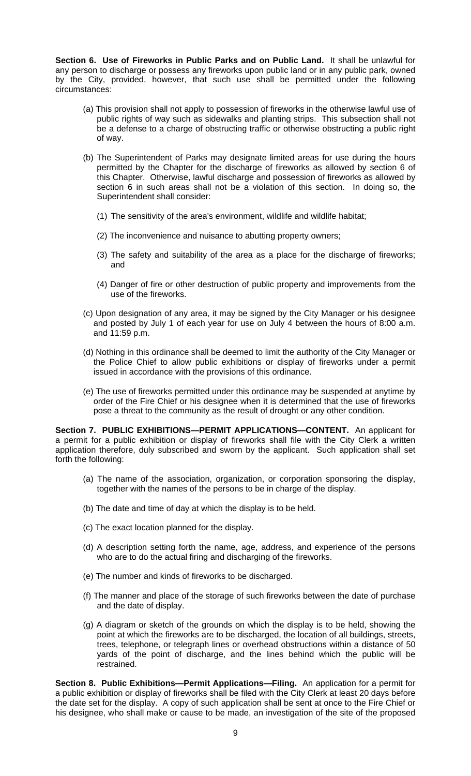**Section 6. Use of Fireworks in Public Parks and on Public Land.** It shall be unlawful for any person to discharge or possess any fireworks upon public land or in any public park, owned by the City, provided, however, that such use shall be permitted under the following circumstances:

- (a) This provision shall not apply to possession of fireworks in the otherwise lawful use of public rights of way such as sidewalks and planting strips. This subsection shall not be a defense to a charge of obstructing traffic or otherwise obstructing a public right of way.
- (b) The Superintendent of Parks may designate limited areas for use during the hours permitted by the Chapter for the discharge of fireworks as allowed by section 6 of this Chapter. Otherwise, lawful discharge and possession of fireworks as allowed by section 6 in such areas shall not be a violation of this section. In doing so, the Superintendent shall consider:
	- (1) The sensitivity of the area's environment, wildlife and wildlife habitat;
	- (2) The inconvenience and nuisance to abutting property owners;
	- (3) The safety and suitability of the area as a place for the discharge of fireworks; and
	- (4) Danger of fire or other destruction of public property and improvements from the use of the fireworks.
- (c) Upon designation of any area, it may be signed by the City Manager or his designee and posted by July 1 of each year for use on July 4 between the hours of 8:00 a.m. and 11:59 p.m.
- (d) Nothing in this ordinance shall be deemed to limit the authority of the City Manager or the Police Chief to allow public exhibitions or display of fireworks under a permit issued in accordance with the provisions of this ordinance.
- (e) The use of fireworks permitted under this ordinance may be suspended at anytime by order of the Fire Chief or his designee when it is determined that the use of fireworks pose a threat to the community as the result of drought or any other condition.

**Section 7. PUBLIC EXHIBITIONS—PERMIT APPLICATIONS—CONTENT.** An applicant for a permit for a public exhibition or display of fireworks shall file with the City Clerk a written application therefore, duly subscribed and sworn by the applicant. Such application shall set forth the following:

- (a) The name of the association, organization, or corporation sponsoring the display, together with the names of the persons to be in charge of the display.
- (b) The date and time of day at which the display is to be held.
- (c) The exact location planned for the display.
- (d) A description setting forth the name, age, address, and experience of the persons who are to do the actual firing and discharging of the fireworks.
- (e) The number and kinds of fireworks to be discharged.
- (f) The manner and place of the storage of such fireworks between the date of purchase and the date of display.
- (g) A diagram or sketch of the grounds on which the display is to be held, showing the point at which the fireworks are to be discharged, the location of all buildings, streets, trees, telephone, or telegraph lines or overhead obstructions within a distance of 50 yards of the point of discharge, and the lines behind which the public will be restrained.

**Section 8. Public Exhibitions—Permit Applications—Filing.** An application for a permit for a public exhibition or display of fireworks shall be filed with the City Clerk at least 20 days before the date set for the display. A copy of such application shall be sent at once to the Fire Chief or his designee, who shall make or cause to be made, an investigation of the site of the proposed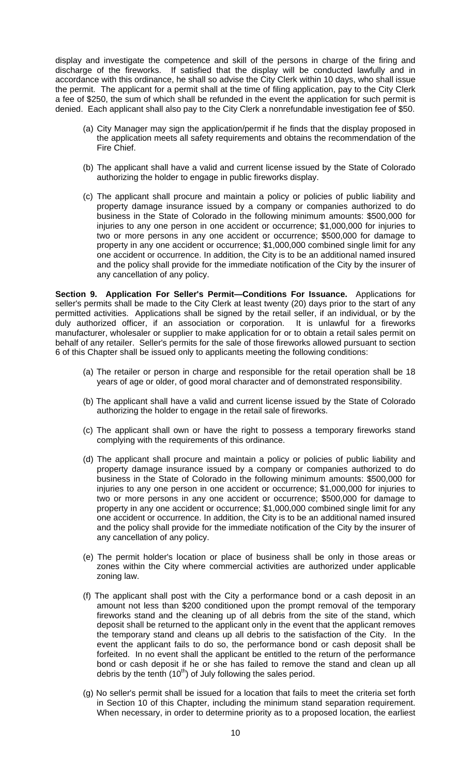display and investigate the competence and skill of the persons in charge of the firing and discharge of the fireworks. If satisfied that the display will be conducted lawfully and in accordance with this ordinance, he shall so advise the City Clerk within 10 days, who shall issue the permit. The applicant for a permit shall at the time of filing application, pay to the City Clerk a fee of \$250, the sum of which shall be refunded in the event the application for such permit is denied. Each applicant shall also pay to the City Clerk a nonrefundable investigation fee of \$50.

- (a) City Manager may sign the application/permit if he finds that the display proposed in the application meets all safety requirements and obtains the recommendation of the Fire Chief.
- (b) The applicant shall have a valid and current license issued by the State of Colorado authorizing the holder to engage in public fireworks display.
- (c) The applicant shall procure and maintain a policy or policies of public liability and property damage insurance issued by a company or companies authorized to do business in the State of Colorado in the following minimum amounts: \$500,000 for injuries to any one person in one accident or occurrence; \$1,000,000 for injuries to two or more persons in any one accident or occurrence; \$500,000 for damage to property in any one accident or occurrence; \$1,000,000 combined single limit for any one accident or occurrence. In addition, the City is to be an additional named insured and the policy shall provide for the immediate notification of the City by the insurer of any cancellation of any policy.

**Section 9. Application For Seller's Permit—Conditions For Issuance.** Applications for seller's permits shall be made to the City Clerk at least twenty (20) days prior to the start of any permitted activities. Applications shall be signed by the retail seller, if an individual, or by the duly authorized officer, if an association or corporation. It is unlawful for a fireworks manufacturer, wholesaler or supplier to make application for or to obtain a retail sales permit on behalf of any retailer. Seller's permits for the sale of those fireworks allowed pursuant to section 6 of this Chapter shall be issued only to applicants meeting the following conditions:

- (a) The retailer or person in charge and responsible for the retail operation shall be 18 years of age or older, of good moral character and of demonstrated responsibility.
- (b) The applicant shall have a valid and current license issued by the State of Colorado authorizing the holder to engage in the retail sale of fireworks.
- (c) The applicant shall own or have the right to possess a temporary fireworks stand complying with the requirements of this ordinance.
- (d) The applicant shall procure and maintain a policy or policies of public liability and property damage insurance issued by a company or companies authorized to do business in the State of Colorado in the following minimum amounts: \$500,000 for injuries to any one person in one accident or occurrence; \$1,000,000 for injuries to two or more persons in any one accident or occurrence; \$500,000 for damage to property in any one accident or occurrence; \$1,000,000 combined single limit for any one accident or occurrence. In addition, the City is to be an additional named insured and the policy shall provide for the immediate notification of the City by the insurer of any cancellation of any policy.
- (e) The permit holder's location or place of business shall be only in those areas or zones within the City where commercial activities are authorized under applicable zoning law.
- (f) The applicant shall post with the City a performance bond or a cash deposit in an amount not less than \$200 conditioned upon the prompt removal of the temporary fireworks stand and the cleaning up of all debris from the site of the stand, which deposit shall be returned to the applicant only in the event that the applicant removes the temporary stand and cleans up all debris to the satisfaction of the City. In the event the applicant fails to do so, the performance bond or cash deposit shall be forfeited. In no event shall the applicant be entitled to the return of the performance bond or cash deposit if he or she has failed to remove the stand and clean up all debris by the tenth  $(10<sup>th</sup>)$  of July following the sales period.
- (g) No seller's permit shall be issued for a location that fails to meet the criteria set forth in Section 10 of this Chapter, including the minimum stand separation requirement. When necessary, in order to determine priority as to a proposed location, the earliest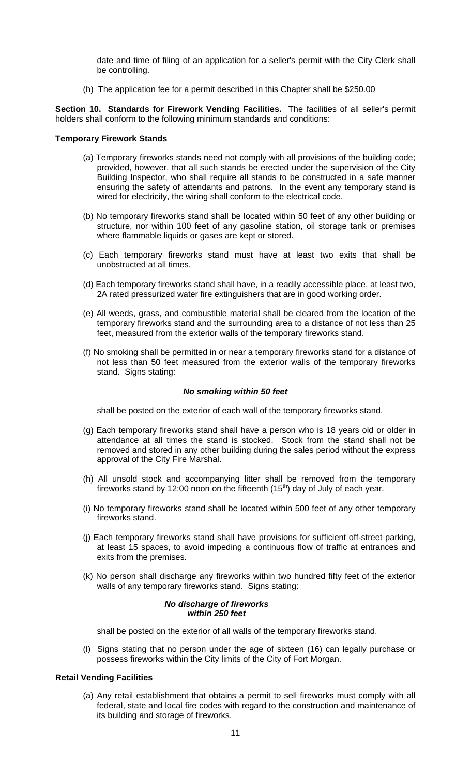date and time of filing of an application for a seller's permit with the City Clerk shall be controlling.

(h) The application fee for a permit described in this Chapter shall be \$250.00

**Section 10. Standards for Firework Vending Facilities.** The facilities of all seller's permit holders shall conform to the following minimum standards and conditions:

## **Temporary Firework Stands**

- (a) Temporary fireworks stands need not comply with all provisions of the building code; provided, however, that all such stands be erected under the supervision of the City Building Inspector, who shall require all stands to be constructed in a safe manner ensuring the safety of attendants and patrons. In the event any temporary stand is wired for electricity, the wiring shall conform to the electrical code.
- (b) No temporary fireworks stand shall be located within 50 feet of any other building or structure, nor within 100 feet of any gasoline station, oil storage tank or premises where flammable liquids or gases are kept or stored.
- (c) Each temporary fireworks stand must have at least two exits that shall be unobstructed at all times.
- (d) Each temporary fireworks stand shall have, in a readily accessible place, at least two, 2A rated pressurized water fire extinguishers that are in good working order.
- (e) All weeds, grass, and combustible material shall be cleared from the location of the temporary fireworks stand and the surrounding area to a distance of not less than 25 feet, measured from the exterior walls of the temporary fireworks stand.
- (f) No smoking shall be permitted in or near a temporary fireworks stand for a distance of not less than 50 feet measured from the exterior walls of the temporary fireworks stand. Signs stating:

## *No smoking within 50 feet*

shall be posted on the exterior of each wall of the temporary fireworks stand.

- (g) Each temporary fireworks stand shall have a person who is 18 years old or older in attendance at all times the stand is stocked. Stock from the stand shall not be removed and stored in any other building during the sales period without the express approval of the City Fire Marshal.
- (h) All unsold stock and accompanying litter shall be removed from the temporary fireworks stand by 12:00 noon on the fifteenth  $(15<sup>th</sup>)$  day of July of each year.
- (i) No temporary fireworks stand shall be located within 500 feet of any other temporary fireworks stand.
- (j) Each temporary fireworks stand shall have provisions for sufficient off-street parking, at least 15 spaces, to avoid impeding a continuous flow of traffic at entrances and exits from the premises.
- (k) No person shall discharge any fireworks within two hundred fifty feet of the exterior walls of any temporary fireworks stand. Signs stating:

### *No discharge of fireworks within 250 feet*

shall be posted on the exterior of all walls of the temporary fireworks stand.

(l) Signs stating that no person under the age of sixteen (16) can legally purchase or possess fireworks within the City limits of the City of Fort Morgan.

## **Retail Vending Facilities**

(a) Any retail establishment that obtains a permit to sell fireworks must comply with all federal, state and local fire codes with regard to the construction and maintenance of its building and storage of fireworks.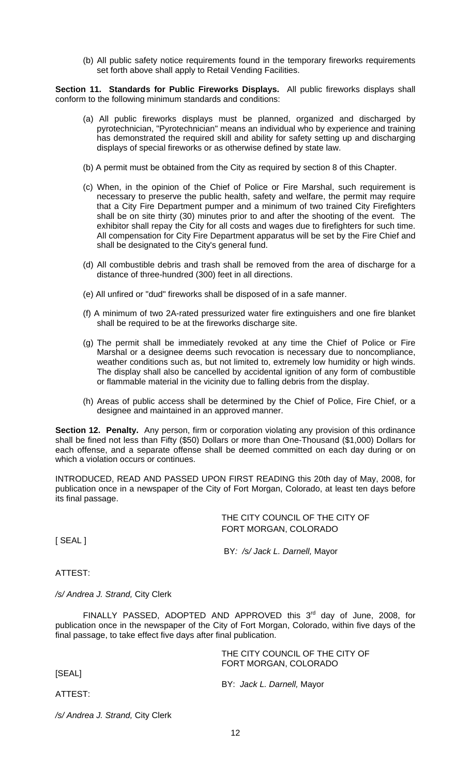(b) All public safety notice requirements found in the temporary fireworks requirements set forth above shall apply to Retail Vending Facilities.

**Section 11. Standards for Public Fireworks Displays.** All public fireworks displays shall conform to the following minimum standards and conditions:

- (a) All public fireworks displays must be planned, organized and discharged by pyrotechnician, "Pyrotechnician" means an individual who by experience and training has demonstrated the required skill and ability for safety setting up and discharging displays of special fireworks or as otherwise defined by state law.
- (b) A permit must be obtained from the City as required by section 8 of this Chapter.
- (c) When, in the opinion of the Chief of Police or Fire Marshal, such requirement is necessary to preserve the public health, safety and welfare, the permit may require that a City Fire Department pumper and a minimum of two trained City Firefighters shall be on site thirty (30) minutes prior to and after the shooting of the event. The exhibitor shall repay the City for all costs and wages due to firefighters for such time. All compensation for City Fire Department apparatus will be set by the Fire Chief and shall be designated to the City's general fund.
- (d) All combustible debris and trash shall be removed from the area of discharge for a distance of three-hundred (300) feet in all directions.
- (e) All unfired or "dud" fireworks shall be disposed of in a safe manner.
- (f) A minimum of two 2A-rated pressurized water fire extinguishers and one fire blanket shall be required to be at the fireworks discharge site.
- (g) The permit shall be immediately revoked at any time the Chief of Police or Fire Marshal or a designee deems such revocation is necessary due to noncompliance, weather conditions such as, but not limited to, extremely low humidity or high winds. The display shall also be cancelled by accidental ignition of any form of combustible or flammable material in the vicinity due to falling debris from the display.
- (h) Areas of public access shall be determined by the Chief of Police, Fire Chief, or a designee and maintained in an approved manner.

**Section 12. Penalty.** Any person, firm or corporation violating any provision of this ordinance shall be fined not less than Fifty (\$50) Dollars or more than One-Thousand (\$1,000) Dollars for each offense, and a separate offense shall be deemed committed on each day during or on which a violation occurs or continues.

INTRODUCED, READ AND PASSED UPON FIRST READING this 20th day of May, 2008, for publication once in a newspaper of the City of Fort Morgan, Colorado, at least ten days before its final passage.

> THE CITY COUNCIL OF THE CITY OF FORT MORGAN, COLORADO

[ SEAL ]

BY*: /s/ Jack L. Darnell,* Mayor

ATTEST:

*/s/ Andrea J. Strand,* City Clerk

FINALLY PASSED, ADOPTED AND APPROVED this 3<sup>rd</sup> day of June, 2008, for publication once in the newspaper of the City of Fort Morgan, Colorado, within five days of the final passage, to take effect five days after final publication.

> THE CITY COUNCIL OF THE CITY OF FORT MORGAN, COLORADO

[SEAL]

BY: *Jack L. Darnell,* Mayor

ATTEST:

*/s/ Andrea J. Strand,* City Clerk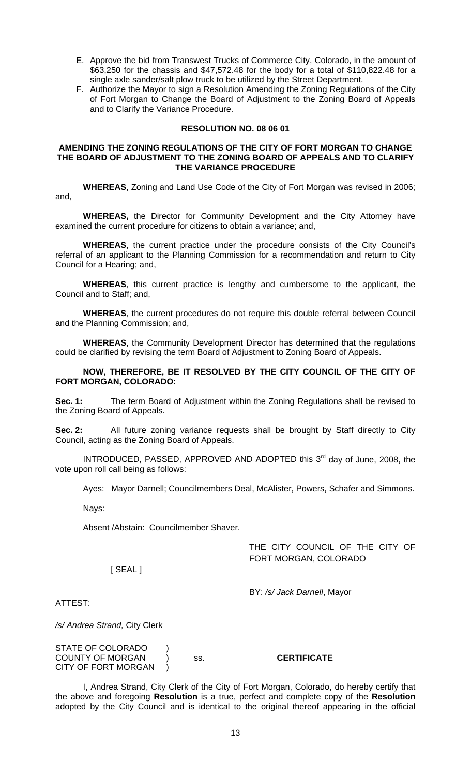- E. Approve the bid from Transwest Trucks of Commerce City, Colorado, in the amount of \$63,250 for the chassis and \$47,572.48 for the body for a total of \$110,822.48 for a single axle sander/salt plow truck to be utilized by the Street Department.
- F. Authorize the Mayor to sign a Resolution Amending the Zoning Regulations of the City of Fort Morgan to Change the Board of Adjustment to the Zoning Board of Appeals and to Clarify the Variance Procedure.

## **RESOLUTION NO. 08 06 01**

### **AMENDING THE ZONING REGULATIONS OF THE CITY OF FORT MORGAN TO CHANGE THE BOARD OF ADJUSTMENT TO THE ZONING BOARD OF APPEALS AND TO CLARIFY THE VARIANCE PROCEDURE**

**WHEREAS**, Zoning and Land Use Code of the City of Fort Morgan was revised in 2006; and,

**WHEREAS,** the Director for Community Development and the City Attorney have examined the current procedure for citizens to obtain a variance; and,

**WHEREAS**, the current practice under the procedure consists of the City Council's referral of an applicant to the Planning Commission for a recommendation and return to City Council for a Hearing; and,

**WHEREAS**, this current practice is lengthy and cumbersome to the applicant, the Council and to Staff; and,

**WHEREAS**, the current procedures do not require this double referral between Council and the Planning Commission; and,

**WHEREAS**, the Community Development Director has determined that the regulations could be clarified by revising the term Board of Adjustment to Zoning Board of Appeals.

**NOW, THEREFORE, BE IT RESOLVED BY THE CITY COUNCIL OF THE CITY OF FORT MORGAN, COLORADO:** 

**Sec. 1:** The term Board of Adjustment within the Zoning Regulations shall be revised to the Zoning Board of Appeals.

**Sec. 2:** All future zoning variance requests shall be brought by Staff directly to City Council, acting as the Zoning Board of Appeals.

INTRODUCED, PASSED, APPROVED AND ADOPTED this 3<sup>rd</sup> day of June, 2008, the vote upon roll call being as follows:

Ayes: Mayor Darnell; Councilmembers Deal, McAlister, Powers, Schafer and Simmons.

Nays:

Absent /Abstain: Councilmember Shaver.

THE CITY COUNCIL OF THE CITY OF FORT MORGAN, COLORADO

[ SEAL ]

BY: */s/ Jack Darnell*, Mayor

ATTEST:

*/s/ Andrea Strand,* City Clerk

STATE OF COLORADO ) COUNTY OF MORGAN ) ss. **CERTIFICATE** CITY OF FORT MORGAN )

 I, Andrea Strand, City Clerk of the City of Fort Morgan, Colorado, do hereby certify that the above and foregoing **Resolution** is a true, perfect and complete copy of the **Resolution** adopted by the City Council and is identical to the original thereof appearing in the official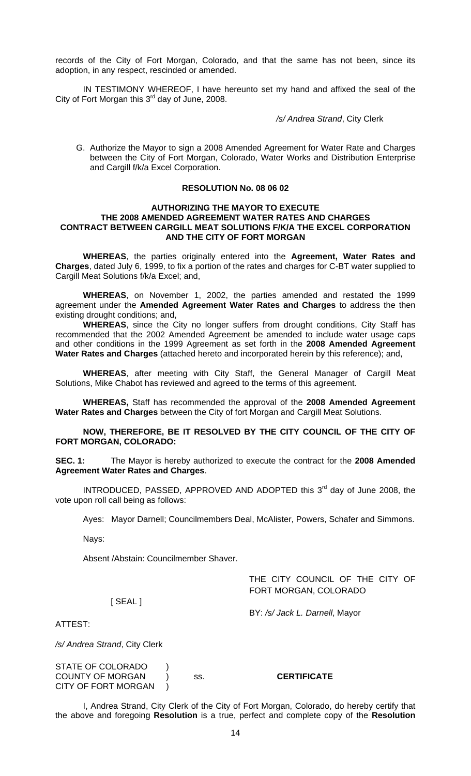records of the City of Fort Morgan, Colorado, and that the same has not been, since its adoption, in any respect, rescinded or amended.

 IN TESTIMONY WHEREOF, I have hereunto set my hand and affixed the seal of the City of Fort Morgan this 3<sup>rd</sup> day of June, 2008.

*/s/ Andrea Strand*, City Clerk

G. Authorize the Mayor to sign a 2008 Amended Agreement for Water Rate and Charges between the City of Fort Morgan, Colorado, Water Works and Distribution Enterprise and Cargill f/k/a Excel Corporation.

### **RESOLUTION No. 08 06 02**

## **AUTHORIZING THE MAYOR TO EXECUTE THE 2008 AMENDED AGREEMENT WATER RATES AND CHARGES CONTRACT BETWEEN CARGILL MEAT SOLUTIONS F/K/A THE EXCEL CORPORATION AND THE CITY OF FORT MORGAN**

**WHEREAS**, the parties originally entered into the **Agreement, Water Rates and Charges**, dated July 6, 1999, to fix a portion of the rates and charges for C-BT water supplied to Cargill Meat Solutions f/k/a Excel; and,

**WHEREAS**, on November 1, 2002, the parties amended and restated the 1999 agreement under the **Amended Agreement Water Rates and Charges** to address the then existing drought conditions; and,

**WHEREAS**, since the City no longer suffers from drought conditions, City Staff has recommended that the 2002 Amended Agreement be amended to include water usage caps and other conditions in the 1999 Agreement as set forth in the **2008 Amended Agreement Water Rates and Charges** (attached hereto and incorporated herein by this reference); and,

**WHEREAS**, after meeting with City Staff, the General Manager of Cargill Meat Solutions, Mike Chabot has reviewed and agreed to the terms of this agreement.

**WHEREAS,** Staff has recommended the approval of the **2008 Amended Agreement Water Rates and Charges** between the City of fort Morgan and Cargill Meat Solutions.

**NOW, THEREFORE, BE IT RESOLVED BY THE CITY COUNCIL OF THE CITY OF FORT MORGAN, COLORADO:** 

**SEC. 1:** The Mayor is hereby authorized to execute the contract for the **2008 Amended Agreement Water Rates and Charges**.

INTRODUCED, PASSED, APPROVED AND ADOPTED this 3<sup>rd</sup> day of June 2008, the vote upon roll call being as follows:

Ayes: Mayor Darnell; Councilmembers Deal, McAlister, Powers, Schafer and Simmons.

Nays:

Absent /Abstain: Councilmember Shaver.

THE CITY COUNCIL OF THE CITY OF FORT MORGAN, COLORADO

[ SEAL ]

BY: */s/ Jack L. Darnell*, Mayor

ATTEST:

*/s/ Andrea Strand*, City Clerk

STATE OF COLORADO ) COUNTY OF MORGAN ) ss. **CERTIFICATE** CITY OF FORT MORGAN )

 I, Andrea Strand, City Clerk of the City of Fort Morgan, Colorado, do hereby certify that the above and foregoing **Resolution** is a true, perfect and complete copy of the **Resolution**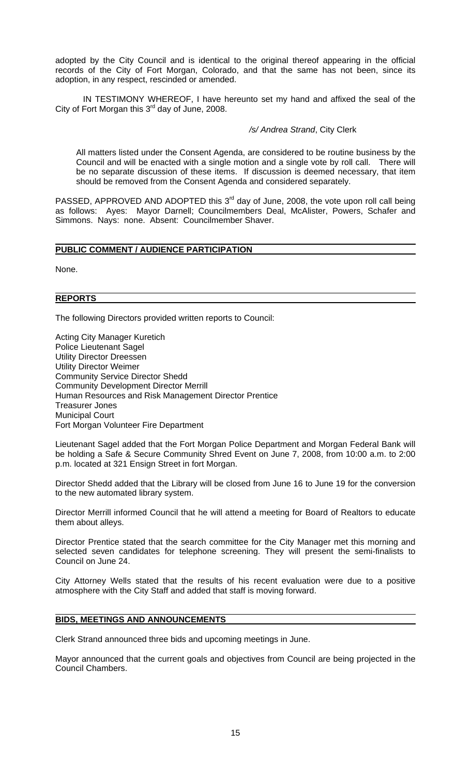adopted by the City Council and is identical to the original thereof appearing in the official records of the City of Fort Morgan, Colorado, and that the same has not been, since its adoption, in any respect, rescinded or amended.

 IN TESTIMONY WHEREOF, I have hereunto set my hand and affixed the seal of the City of Fort Morgan this  $3<sup>rd</sup>$  day of June, 2008.

## */s/ Andrea Strand*, City Clerk

All matters listed under the Consent Agenda, are considered to be routine business by the Council and will be enacted with a single motion and a single vote by roll call. There will be no separate discussion of these items. If discussion is deemed necessary, that item should be removed from the Consent Agenda and considered separately.

PASSED, APPROVED AND ADOPTED this  $3<sup>rd</sup>$  day of June, 2008, the vote upon roll call being as follows: Ayes: Mayor Darnell; Councilmembers Deal, McAlister, Powers, Schafer and Simmons. Nays: none. Absent: Councilmember Shaver.

#### **PUBLIC COMMENT / AUDIENCE PARTICIPATION**

None.

#### **REPORTS**

The following Directors provided written reports to Council:

Acting City Manager Kuretich Police Lieutenant Sagel Utility Director Dreessen Utility Director Weimer Community Service Director Shedd Community Development Director Merrill Human Resources and Risk Management Director Prentice Treasurer Jones Municipal Court Fort Morgan Volunteer Fire Department

Lieutenant Sagel added that the Fort Morgan Police Department and Morgan Federal Bank will be holding a Safe & Secure Community Shred Event on June 7, 2008, from 10:00 a.m. to 2:00 p.m. located at 321 Ensign Street in fort Morgan.

Director Shedd added that the Library will be closed from June 16 to June 19 for the conversion to the new automated library system.

Director Merrill informed Council that he will attend a meeting for Board of Realtors to educate them about alleys.

Director Prentice stated that the search committee for the City Manager met this morning and selected seven candidates for telephone screening. They will present the semi-finalists to Council on June 24.

City Attorney Wells stated that the results of his recent evaluation were due to a positive atmosphere with the City Staff and added that staff is moving forward.

## **BIDS, MEETINGS AND ANNOUNCEMENTS**

Clerk Strand announced three bids and upcoming meetings in June.

Mayor announced that the current goals and objectives from Council are being projected in the Council Chambers.